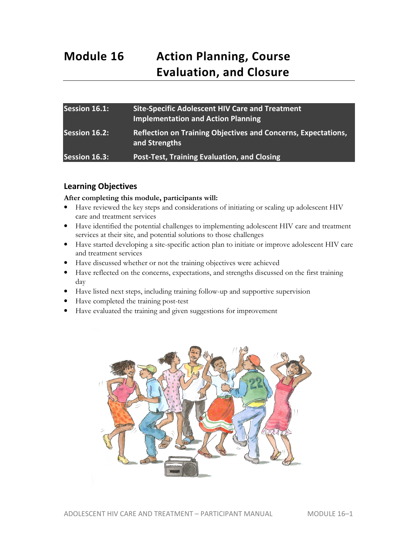# **Module 16 Action Planning, Course Evaluation, and Closure**

| Session 16.1: | <b>Site-Specific Adolescent HIV Care and Treatment</b><br><b>Implementation and Action Planning</b> |
|---------------|-----------------------------------------------------------------------------------------------------|
| Session 16.2: | Reflection on Training Objectives and Concerns, Expectations,<br>and Strengths                      |
| Session 16.3: | Post-Test, Training Evaluation, and Closing                                                         |

### **Learning Objectives**

#### **After completing this module, participants will:**

- Have reviewed the key steps and considerations of initiating or scaling up adolescent HIV care and treatment services
- Have identified the potential challenges to implementing adolescent HIV care and treatment services at their site, and potential solutions to those challenges
- Have started developing a site-specific action plan to initiate or improve adolescent HIV care and treatment services
- Have discussed whether or not the training objectives were achieved
- Have reflected on the concerns, expectations, and strengths discussed on the first training day
- Have listed next steps, including training follow-up and supportive supervision
- Have completed the training post-test
- Have evaluated the training and given suggestions for improvement

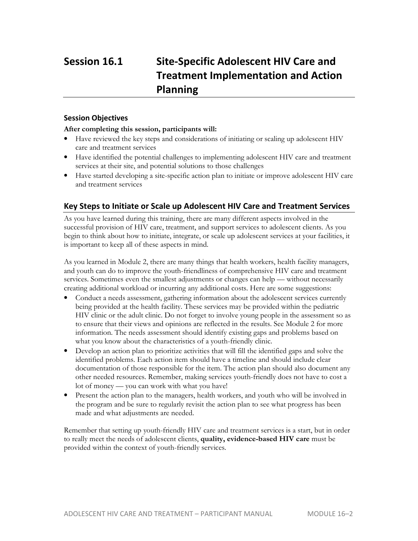## **Session 16.1 Site-Specific Adolescent HIV Care and Treatment Implementation and Action Planning**

#### **Session Objectives**

#### **After completing this session, participants will:**

- Have reviewed the key steps and considerations of initiating or scaling up adolescent HIV care and treatment services
- Have identified the potential challenges to implementing adolescent HIV care and treatment services at their site, and potential solutions to those challenges
- Have started developing a site-specific action plan to initiate or improve adolescent HIV care and treatment services

### **Key Steps to Initiate or Scale up Adolescent HIV Care and Treatment Services**

As you have learned during this training, there are many different aspects involved in the successful provision of HIV care, treatment, and support services to adolescent clients. As you begin to think about how to initiate, integrate, or scale up adolescent services at your facilities, it is important to keep all of these aspects in mind.

As you learned in Module 2, there are many things that health workers, health facility managers, and youth can do to improve the youth-friendliness of comprehensive HIV care and treatment services. Sometimes even the smallest adjustments or changes can help — without necessarily creating additional workload or incurring any additional costs. Here are some suggestions:

- Conduct a needs assessment, gathering information about the adolescent services currently being provided at the health facility. These services may be provided within the pediatric HIV clinic or the adult clinic. Do not forget to involve young people in the assessment so as to ensure that their views and opinions are reflected in the results. See Module 2 for more information. The needs assessment should identify existing gaps and problems based on what you know about the characteristics of a youth-friendly clinic.
- Develop an action plan to prioritize activities that will fill the identified gaps and solve the identified problems. Each action item should have a timeline and should include clear documentation of those responsible for the item. The action plan should also document any other needed resources. Remember, making services youth-friendly does not have to cost a lot of money — you can work with what you have!
- Present the action plan to the managers, health workers, and youth who will be involved in the program and be sure to regularly revisit the action plan to see what progress has been made and what adjustments are needed.

Remember that setting up youth-friendly HIV care and treatment services is a start, but in order to really meet the needs of adolescent clients, **quality, evidence-based HIV care** must be provided within the context of youth-friendly services.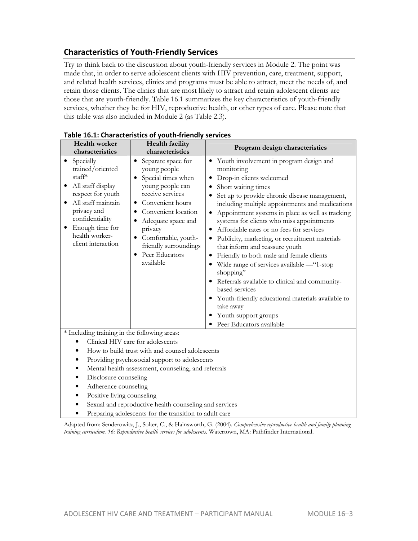## **Characteristics of Youth-Friendly Services**

Try to think back to the discussion about youth-friendly services in Module 2. The point was made that, in order to serve adolescent clients with HIV prevention, care, treatment, support, and related health services, clinics and programs must be able to attract, meet the needs of, and retain those clients. The clinics that are most likely to attract and retain adolescent clients are those that are youth-friendly. Table 16.1 summarizes the key characteristics of youth-friendly services, whether they be for HIV, reproductive health, or other types of care. Please note that this table was also included in Module 2 (as Table 2.3).

| Health worker<br>characteristics                                                                                                                                                                     | Health facility<br>characteristics                                                                                                                                                                                                                                                      | Program design characteristics                                                                                                                                                                                                                                                                                                                                                                                                                                                                                                                                                                                                                                                                                                                                                 |
|------------------------------------------------------------------------------------------------------------------------------------------------------------------------------------------------------|-----------------------------------------------------------------------------------------------------------------------------------------------------------------------------------------------------------------------------------------------------------------------------------------|--------------------------------------------------------------------------------------------------------------------------------------------------------------------------------------------------------------------------------------------------------------------------------------------------------------------------------------------------------------------------------------------------------------------------------------------------------------------------------------------------------------------------------------------------------------------------------------------------------------------------------------------------------------------------------------------------------------------------------------------------------------------------------|
| Specially<br>trained/oriented<br>staff*<br>All staff display<br>respect for youth<br>All staff maintain<br>privacy and<br>confidentiality<br>Enough time for<br>health worker-<br>client interaction | Separate space for<br>$\bullet$<br>young people<br>Special times when<br>٠<br>young people can<br>receive services<br>Convenient hours<br>٠<br>Convenient location<br>Adequate space and<br>privacy<br>Comfortable, youth-<br>friendly surroundings<br>Peer Educators<br>٠<br>available | Youth involvement in program design and<br>$\bullet$<br>monitoring<br>Drop-in clients welcomed<br>Short waiting times<br>Set up to provide chronic disease management,<br>including multiple appointments and medications<br>Appointment systems in place as well as tracking<br>systems for clients who miss appointments<br>Affordable rates or no fees for services<br>$\bullet$<br>Publicity, marketing, or recruitment materials<br>that inform and reassure youth<br>Friendly to both male and female clients<br>• Wide range of services available - "1-stop<br>shopping"<br>• Referrals available to clinical and community-<br>based services<br>• Youth-friendly educational materials available to<br>take away<br>Youth support groups<br>Peer Educators available |
| * Including training in the following areas:                                                                                                                                                         |                                                                                                                                                                                                                                                                                         |                                                                                                                                                                                                                                                                                                                                                                                                                                                                                                                                                                                                                                                                                                                                                                                |
|                                                                                                                                                                                                      | Clinical HIV care for adolescents                                                                                                                                                                                                                                                       |                                                                                                                                                                                                                                                                                                                                                                                                                                                                                                                                                                                                                                                                                                                                                                                |
| ٠                                                                                                                                                                                                    | How to build trust with and counsel adolescents                                                                                                                                                                                                                                         |                                                                                                                                                                                                                                                                                                                                                                                                                                                                                                                                                                                                                                                                                                                                                                                |
|                                                                                                                                                                                                      | Providing psychosocial support to adolescents                                                                                                                                                                                                                                           |                                                                                                                                                                                                                                                                                                                                                                                                                                                                                                                                                                                                                                                                                                                                                                                |
| ٠<br>Disclosure counseling                                                                                                                                                                           | Mental health assessment, counseling, and referrals                                                                                                                                                                                                                                     |                                                                                                                                                                                                                                                                                                                                                                                                                                                                                                                                                                                                                                                                                                                                                                                |
| Adherence counseling                                                                                                                                                                                 |                                                                                                                                                                                                                                                                                         |                                                                                                                                                                                                                                                                                                                                                                                                                                                                                                                                                                                                                                                                                                                                                                                |
| Positive living counseling                                                                                                                                                                           |                                                                                                                                                                                                                                                                                         |                                                                                                                                                                                                                                                                                                                                                                                                                                                                                                                                                                                                                                                                                                                                                                                |
|                                                                                                                                                                                                      | Sexual and reproductive health counseling and services                                                                                                                                                                                                                                  |                                                                                                                                                                                                                                                                                                                                                                                                                                                                                                                                                                                                                                                                                                                                                                                |
|                                                                                                                                                                                                      | Preparing adolescents for the transition to adult care                                                                                                                                                                                                                                  |                                                                                                                                                                                                                                                                                                                                                                                                                                                                                                                                                                                                                                                                                                                                                                                |

| Table 16.1: Characteristics of youth-friendly services |  |  |
|--------------------------------------------------------|--|--|
|--------------------------------------------------------|--|--|

Adapted from: Senderowitz, J., Solter, C., & Hainsworth, G. (2004). *Comprehensive reproductive health and family planning training curriculum. 16: Reproductive health services for adolescents.* Watertown, MA: Pathfinder International.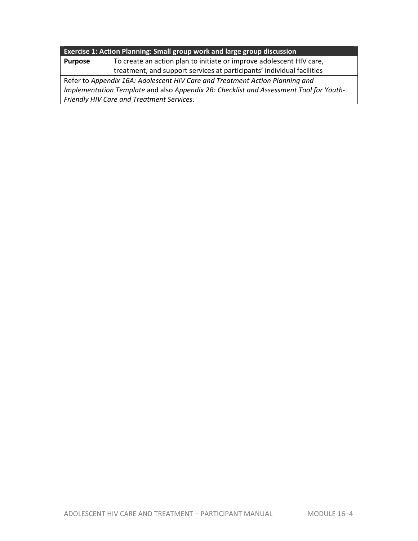| <b>Exercise 1: Action Planning: Small group work and large group discussion</b>        |                                                                        |  |  |  |
|----------------------------------------------------------------------------------------|------------------------------------------------------------------------|--|--|--|
| <b>Purpose</b>                                                                         | To create an action plan to initiate or improve adolescent HIV care,   |  |  |  |
|                                                                                        | treatment, and support services at participants' individual facilities |  |  |  |
| Refer to Appendix 16A: Adolescent HIV Care and Treatment Action Planning and           |                                                                        |  |  |  |
| Implementation Template and also Appendix 2B: Checklist and Assessment Tool for Youth- |                                                                        |  |  |  |
| Friendly HIV Care and Treatment Services.                                              |                                                                        |  |  |  |
|                                                                                        |                                                                        |  |  |  |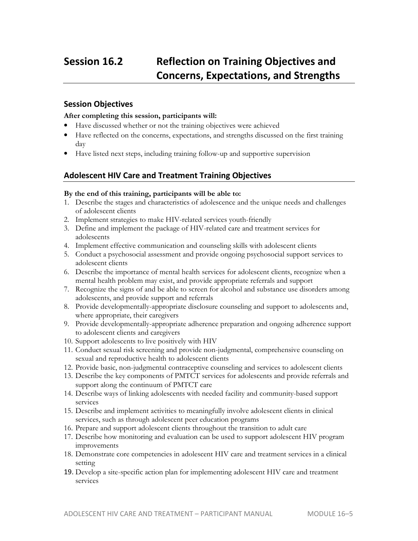## **Session 16.2 Reflection on Training Objectives and Concerns, Expectations, and Strengths**

### **Session Objectives**

#### **After completing this session, participants will:**

- Have discussed whether or not the training objectives were achieved
- Have reflected on the concerns, expectations, and strengths discussed on the first training day
- Have listed next steps, including training follow-up and supportive supervision

## **Adolescent HIV Care and Treatment Training Objectives**

#### **By the end of this training, participants will be able to:**

- 1. Describe the stages and characteristics of adolescence and the unique needs and challenges of adolescent clients
- 2. Implement strategies to make HIV-related services youth-friendly
- 3. Define and implement the package of HIV-related care and treatment services for adolescents
- 4. Implement effective communication and counseling skills with adolescent clients
- 5. Conduct a psychosocial assessment and provide ongoing psychosocial support services to adolescent clients
- 6. Describe the importance of mental health services for adolescent clients, recognize when a mental health problem may exist, and provide appropriate referrals and support
- 7. Recognize the signs of and be able to screen for alcohol and substance use disorders among adolescents, and provide support and referrals
- 8. Provide developmentally-appropriate disclosure counseling and support to adolescents and, where appropriate, their caregivers
- 9. Provide developmentally-appropriate adherence preparation and ongoing adherence support to adolescent clients and caregivers
- 10. Support adolescents to live positively with HIV
- 11. Conduct sexual risk screening and provide non-judgmental, comprehensive counseling on sexual and reproductive health to adolescent clients
- 12. Provide basic, non-judgmental contraceptive counseling and services to adolescent clients
- 13. Describe the key components of PMTCT services for adolescents and provide referrals and support along the continuum of PMTCT care
- 14. Describe ways of linking adolescents with needed facility and community-based support services
- 15. Describe and implement activities to meaningfully involve adolescent clients in clinical services, such as through adolescent peer education programs
- 16. Prepare and support adolescent clients throughout the transition to adult care
- 17. Describe how monitoring and evaluation can be used to support adolescent HIV program improvements
- 18. Demonstrate core competencies in adolescent HIV care and treatment services in a clinical setting
- 19. Develop a site-specific action plan for implementing adolescent HIV care and treatment services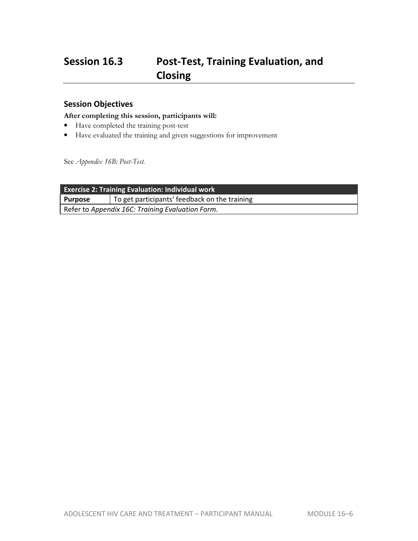## **Session 16.3 Post-Test, Training Evaluation, and Closing**

### **Session Objectives**

#### **After completing this session, participants will:**

- Have completed the training post-test
- Have evaluated the training and given suggestions for improvement

See *Appendix 16B: Post-Test.* 

| <b>Exercise 2: Training Evaluation: Individual work \</b> |                                               |  |  |  |
|-----------------------------------------------------------|-----------------------------------------------|--|--|--|
| Purpose                                                   | To get participants' feedback on the training |  |  |  |
| Refer to Appendix 16C: Training Evaluation Form.          |                                               |  |  |  |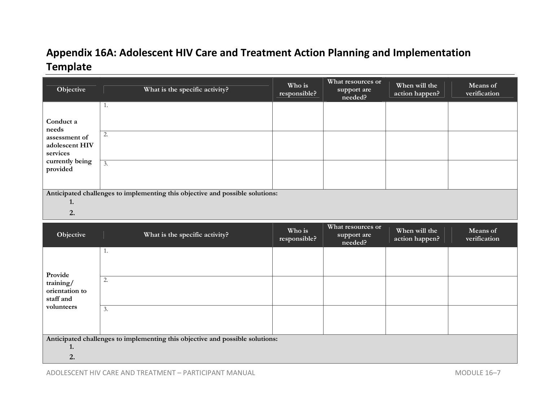## **Appendix 16A: Adolescent HIV Care and Treatment Action Planning and Implementation Template**

| Objective                                                                     | What is the specific activity? | Who is<br>responsible? | What resources or<br>support are<br>needed? | When will the<br>action happen? | Means of<br>verification |
|-------------------------------------------------------------------------------|--------------------------------|------------------------|---------------------------------------------|---------------------------------|--------------------------|
| Conduct a<br>needs                                                            | 1.<br>2.                       |                        |                                             |                                 |                          |
| assessment of<br>adolescent HIV<br>services                                   |                                |                        |                                             |                                 |                          |
| currently being<br>provided                                                   | 3.                             |                        |                                             |                                 |                          |
| Anticipated challenges to implementing this objective and possible solutions: |                                |                        |                                             |                                 |                          |
| 1.                                                                            |                                |                        |                                             |                                 |                          |
| 2.                                                                            |                                |                        |                                             |                                 |                          |

| Objective                                                                     | What is the specific activity? | Who is<br>responsible? | What resources or<br>support are<br>needed? | When will the<br>action happen? | Means of<br>verification |
|-------------------------------------------------------------------------------|--------------------------------|------------------------|---------------------------------------------|---------------------------------|--------------------------|
| Provide                                                                       | -1.                            |                        |                                             |                                 |                          |
| training/<br>orientation to<br>staff and                                      | 2.                             |                        |                                             |                                 |                          |
| volunteers                                                                    | 3.                             |                        |                                             |                                 |                          |
| Anticipated challenges to implementing this objective and possible solutions: |                                |                        |                                             |                                 |                          |
| 1.<br>2.                                                                      |                                |                        |                                             |                                 |                          |

ADOLESCENT HIV CARE AND TREATMENT – PARTICIPANT MANUAL MODULE 16-7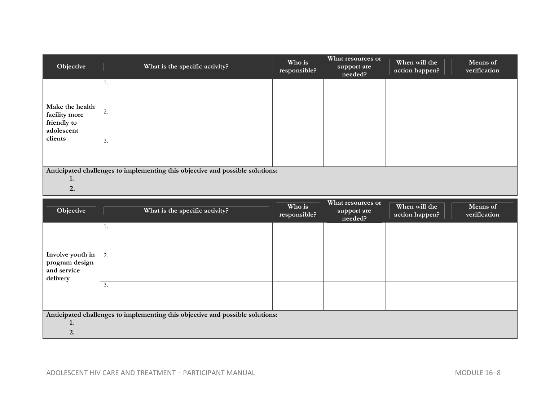| Objective                                  | What is the specific activity?                                                | Who is<br>responsible? | What resources or<br>support are<br>needed? | When will the<br>action happen? | Means of<br>verification |
|--------------------------------------------|-------------------------------------------------------------------------------|------------------------|---------------------------------------------|---------------------------------|--------------------------|
| Make the health                            | 1.                                                                            |                        |                                             |                                 |                          |
| facility more<br>friendly to<br>adolescent | 2.                                                                            |                        |                                             |                                 |                          |
| clients                                    | 3.                                                                            |                        |                                             |                                 |                          |
| 1.<br>2.                                   | Anticipated challenges to implementing this objective and possible solutions: |                        |                                             |                                 |                          |

| Objective                                                                     | What is the specific activity? | Who is<br>responsible? | What resources or<br>support are<br>needed? | When will the<br>action happen? | Means of<br>verification |
|-------------------------------------------------------------------------------|--------------------------------|------------------------|---------------------------------------------|---------------------------------|--------------------------|
|                                                                               | 1.                             |                        |                                             |                                 |                          |
| Involve youth in<br>program design<br>and service<br>delivery                 | 2.                             |                        |                                             |                                 |                          |
|                                                                               | 3.                             |                        |                                             |                                 |                          |
| Anticipated challenges to implementing this objective and possible solutions: |                                |                        |                                             |                                 |                          |
| 1.                                                                            |                                |                        |                                             |                                 |                          |
| 2.                                                                            |                                |                        |                                             |                                 |                          |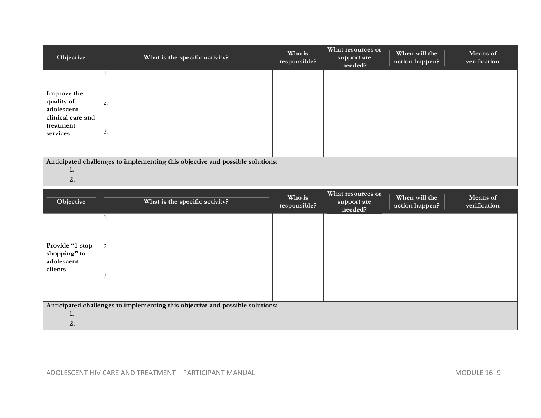| Objective                                                                     | What is the specific activity? | Who is<br>responsible? | What resources or<br>support are<br>needed? | When will the<br>action happen? | Means of<br>verification |
|-------------------------------------------------------------------------------|--------------------------------|------------------------|---------------------------------------------|---------------------------------|--------------------------|
|                                                                               | Ι.                             |                        |                                             |                                 |                          |
|                                                                               |                                |                        |                                             |                                 |                          |
| Improve the                                                                   |                                |                        |                                             |                                 |                          |
| quality of                                                                    | 2.                             |                        |                                             |                                 |                          |
| adolescent<br>clinical care and                                               |                                |                        |                                             |                                 |                          |
| treatment                                                                     |                                |                        |                                             |                                 |                          |
| services                                                                      | 3.                             |                        |                                             |                                 |                          |
|                                                                               |                                |                        |                                             |                                 |                          |
|                                                                               |                                |                        |                                             |                                 |                          |
| Anticipated challenges to implementing this objective and possible solutions: |                                |                        |                                             |                                 |                          |
|                                                                               |                                |                        |                                             |                                 |                          |
| 2.                                                                            |                                |                        |                                             |                                 |                          |

| Objective                                                                     | What is the specific activity? | Who is<br>responsible? | What resources or<br>support are<br>needed? | When will the<br>action happen? | Means of<br>verification |
|-------------------------------------------------------------------------------|--------------------------------|------------------------|---------------------------------------------|---------------------------------|--------------------------|
|                                                                               | 1.                             |                        |                                             |                                 |                          |
| Provide "1-stop<br>shopping" to<br>adolescent<br>clients                      | 2.                             |                        |                                             |                                 |                          |
|                                                                               | 3.                             |                        |                                             |                                 |                          |
| Anticipated challenges to implementing this objective and possible solutions: |                                |                        |                                             |                                 |                          |
| 1.                                                                            |                                |                        |                                             |                                 |                          |
| 2.                                                                            |                                |                        |                                             |                                 |                          |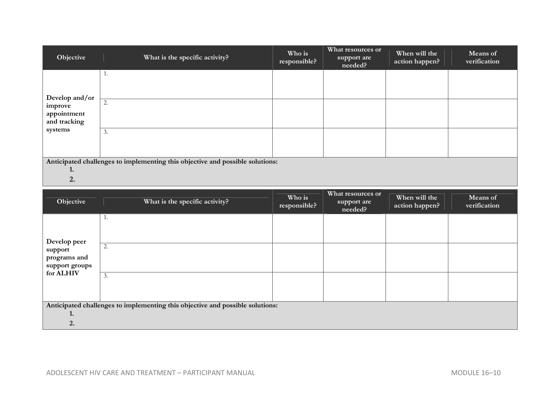| Objective                                                                     | What is the specific activity? | Who is<br>responsible? | What resources or<br>support are<br>needed? | When will the<br>action happen? | Means of<br>verification |
|-------------------------------------------------------------------------------|--------------------------------|------------------------|---------------------------------------------|---------------------------------|--------------------------|
|                                                                               | 1.                             |                        |                                             |                                 |                          |
|                                                                               |                                |                        |                                             |                                 |                          |
| Develop and/or                                                                |                                |                        |                                             |                                 |                          |
| improve                                                                       | 2.                             |                        |                                             |                                 |                          |
| appointment                                                                   |                                |                        |                                             |                                 |                          |
| and tracking<br>systems                                                       |                                |                        |                                             |                                 |                          |
|                                                                               | 3.                             |                        |                                             |                                 |                          |
|                                                                               |                                |                        |                                             |                                 |                          |
|                                                                               |                                |                        |                                             |                                 |                          |
| Anticipated challenges to implementing this objective and possible solutions: |                                |                        |                                             |                                 |                          |
|                                                                               |                                |                        |                                             |                                 |                          |
| 2.                                                                            |                                |                        |                                             |                                 |                          |

| Objective                                                                     | What is the specific activity? | Who is<br>responsible? | What resources or<br>support are<br>needed? | When will the<br>action happen? | Means of<br>verification |  |  |  |
|-------------------------------------------------------------------------------|--------------------------------|------------------------|---------------------------------------------|---------------------------------|--------------------------|--|--|--|
| Develop peer<br>support<br>programs and<br>support groups<br>for ALHIV        | Ι.<br>2.                       |                        |                                             |                                 |                          |  |  |  |
|                                                                               |                                |                        |                                             |                                 |                          |  |  |  |
|                                                                               | 3.                             |                        |                                             |                                 |                          |  |  |  |
| Anticipated challenges to implementing this objective and possible solutions: |                                |                        |                                             |                                 |                          |  |  |  |
| $\mathbf{I}$                                                                  |                                |                        |                                             |                                 |                          |  |  |  |
| 2.                                                                            |                                |                        |                                             |                                 |                          |  |  |  |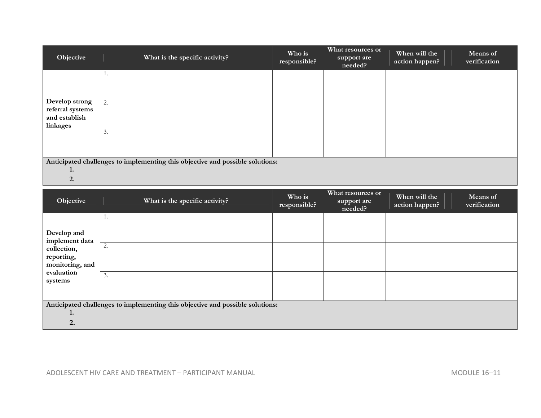| Objective                                                       | What is the specific activity?                                                | Who is<br>responsible? | What resources or<br>support are<br>needed? | When will the<br>action happen? | Means of<br>verification |
|-----------------------------------------------------------------|-------------------------------------------------------------------------------|------------------------|---------------------------------------------|---------------------------------|--------------------------|
| Develop strong<br>referral systems<br>and establish<br>linkages | 1.                                                                            |                        |                                             |                                 |                          |
|                                                                 | 2.                                                                            |                        |                                             |                                 |                          |
|                                                                 | 3.                                                                            |                        |                                             |                                 |                          |
| 2.                                                              | Anticipated challenges to implementing this objective and possible solutions: |                        |                                             |                                 |                          |

| Objective                                                                     | What is the specific activity? | Who is<br>responsible? | What resources or<br>support are<br>needed? | When will the<br>action happen? | Means of<br>verification |  |  |
|-------------------------------------------------------------------------------|--------------------------------|------------------------|---------------------------------------------|---------------------------------|--------------------------|--|--|
|                                                                               | 1.                             |                        |                                             |                                 |                          |  |  |
| Develop and<br>implement data                                                 |                                |                        |                                             |                                 |                          |  |  |
| collection,                                                                   | 2.                             |                        |                                             |                                 |                          |  |  |
| reporting,                                                                    |                                |                        |                                             |                                 |                          |  |  |
| monitoring, and<br>evaluation                                                 |                                |                        |                                             |                                 |                          |  |  |
| systems                                                                       | 3.                             |                        |                                             |                                 |                          |  |  |
|                                                                               |                                |                        |                                             |                                 |                          |  |  |
| Anticipated challenges to implementing this objective and possible solutions: |                                |                        |                                             |                                 |                          |  |  |
| ı.                                                                            |                                |                        |                                             |                                 |                          |  |  |
| 2.                                                                            |                                |                        |                                             |                                 |                          |  |  |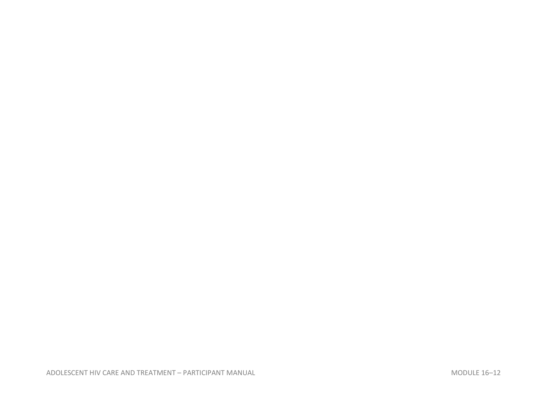ADOLESCENT HIV CARE AND TREATMENT – PARTICIPANT MANUAL MODULE 16-12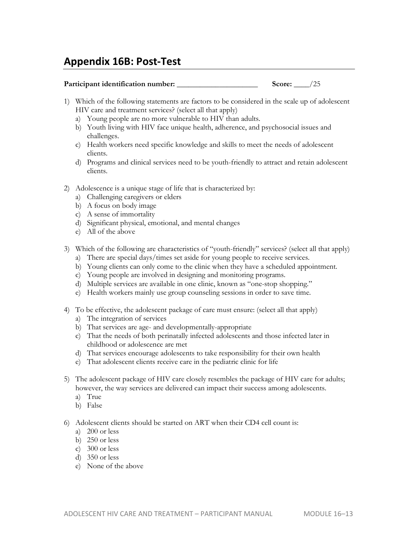## **Appendix 16B: Post-Test**

#### **Participant identification number:** Score: \_\_\_\_/25

- 1) Which of the following statements are factors to be considered in the scale up of adolescent HIV care and treatment services? (select all that apply)
	- a) Young people are no more vulnerable to HIV than adults.
	- b) Youth living with HIV face unique health, adherence, and psychosocial issues and challenges.
	- c) Health workers need specific knowledge and skills to meet the needs of adolescent clients.
	- d) Programs and clinical services need to be youth-friendly to attract and retain adolescent clients.
- 2) Adolescence is a unique stage of life that is characterized by:
	- a) Challenging caregivers or elders
	- b) A focus on body image
	- c) A sense of immortality
	- d) Significant physical, emotional, and mental changes
	- e) All of the above
- 3) Which of the following are characteristics of "youth-friendly" services? (select all that apply)
	- a) There are special days/times set aside for young people to receive services.
	- b) Young clients can only come to the clinic when they have a scheduled appointment.
	- c) Young people are involved in designing and monitoring programs.
	- d) Multiple services are available in one clinic, known as "one-stop shopping."
	- e) Health workers mainly use group counseling sessions in order to save time.
- 4) To be effective, the adolescent package of care must ensure: (select all that apply)
	- a) The integration of services
	- b) That services are age- and developmentally-appropriate
	- c) That the needs of both perinatally infected adolescents and those infected later in childhood or adolescence are met
	- d) That services encourage adolescents to take responsibility for their own health
	- e) That adolescent clients receive care in the pediatric clinic for life
- 5) The adolescent package of HIV care closely resembles the package of HIV care for adults; however, the way services are delivered can impact their success among adolescents.
	- a) True
	- b) False
- 6) Adolescent clients should be started on ART when their CD4 cell count is:
	- a) 200 or less
	- b) 250 or less
	- c) 300 or less
	- d) 350 or less
	- e) None of the above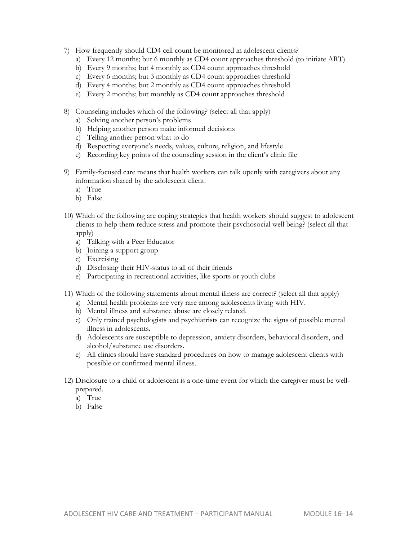- 7) How frequently should CD4 cell count be monitored in adolescent clients?
	- a) Every 12 months; but 6 monthly as CD4 count approaches threshold (to initiate ART)
	- b) Every 9 months; but 4 monthly as CD4 count approaches threshold
	- c) Every 6 months; but 3 monthly as CD4 count approaches threshold
	- d) Every 4 months; but 2 monthly as CD4 count approaches threshold
	- e) Every 2 months; but monthly as CD4 count approaches threshold
- 8) Counseling includes which of the following? (select all that apply)
	- a) Solving another person's problems
	- b) Helping another person make informed decisions
	- c) Telling another person what to do
	- d) Respecting everyone's needs, values, culture, religion, and lifestyle
	- e) Recording key points of the counseling session in the client's clinic file
- 9) Family-focused care means that health workers can talk openly with caregivers about any information shared by the adolescent client.
	- a) True
	- b) False
- 10) Which of the following are coping strategies that health workers should suggest to adolescent clients to help them reduce stress and promote their psychosocial well being? (select all that apply)
	- a) Talking with a Peer Educator
	- b) Joining a support group
	- c) Exercising
	- d) Disclosing their HIV-status to all of their friends
	- e) Participating in recreational activities, like sports or youth clubs
- 11) Which of the following statements about mental illness are correct? (select all that apply)
	- a) Mental health problems are very rare among adolescents living with HIV.
	- b) Mental illness and substance abuse are closely related.
	- c) Only trained psychologists and psychiatrists can recognize the signs of possible mental illness in adolescents.
	- d) Adolescents are susceptible to depression, anxiety disorders, behavioral disorders, and alcohol/substance use disorders.
	- e) All clinics should have standard procedures on how to manage adolescent clients with possible or confirmed mental illness.
- 12) Disclosure to a child or adolescent is a one-time event for which the caregiver must be wellprepared.
	- a) True
	- b) False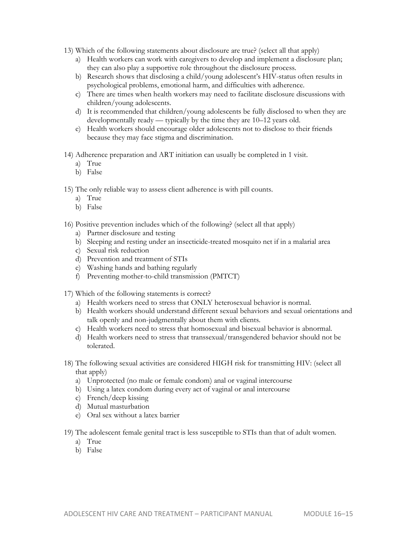- 13) Which of the following statements about disclosure are true? (select all that apply)
	- a) Health workers can work with caregivers to develop and implement a disclosure plan; they can also play a supportive role throughout the disclosure process.
	- b) Research shows that disclosing a child/young adolescent's HIV-status often results in psychological problems, emotional harm, and difficulties with adherence.
	- c) There are times when health workers may need to facilitate disclosure discussions with children/young adolescents.
	- d) It is recommended that children/young adolescents be fully disclosed to when they are developmentally ready — typically by the time they are 10–12 years old.
	- e) Health workers should encourage older adolescents not to disclose to their friends because they may face stigma and discrimination.
- 14) Adherence preparation and ART initiation can usually be completed in 1 visit.
	- a) True
	- b) False

15) The only reliable way to assess client adherence is with pill counts.

- a) True
- b) False
- 16) Positive prevention includes which of the following? (select all that apply)
	- a) Partner disclosure and testing
	- b) Sleeping and resting under an insecticide-treated mosquito net if in a malarial area
	- c) Sexual risk reduction
	- d) Prevention and treatment of STIs
	- e) Washing hands and bathing regularly
	- f) Preventing mother-to-child transmission (PMTCT)
- 17) Which of the following statements is correct?
	- a) Health workers need to stress that ONLY heterosexual behavior is normal.
	- b) Health workers should understand different sexual behaviors and sexual orientations and talk openly and non-judgmentally about them with clients.
	- c) Health workers need to stress that homosexual and bisexual behavior is abnormal.
	- d) Health workers need to stress that transsexual/transgendered behavior should not be tolerated.
- 18) The following sexual activities are considered HIGH risk for transmitting HIV: (select all that apply)
	- a) Unprotected (no male or female condom) anal or vaginal intercourse
	- b) Using a latex condom during every act of vaginal or anal intercourse
	- c) French/deep kissing
	- d) Mutual masturbation
	- e) Oral sex without a latex barrier
- 19) The adolescent female genital tract is less susceptible to STIs than that of adult women.
	- a) True
	- b) False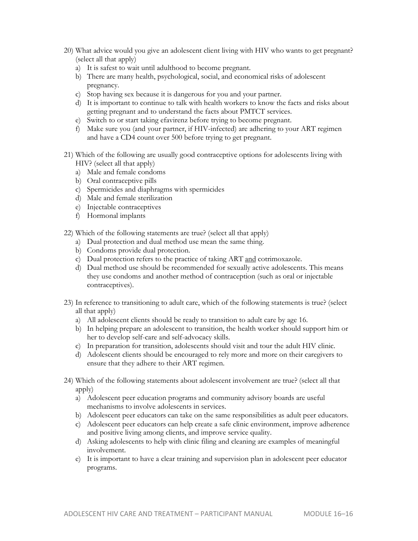- 20) What advice would you give an adolescent client living with HIV who wants to get pregnant? (select all that apply)
	- a) It is safest to wait until adulthood to become pregnant.
	- b) There are many health, psychological, social, and economical risks of adolescent pregnancy.
	- c) Stop having sex because it is dangerous for you and your partner.
	- d) It is important to continue to talk with health workers to know the facts and risks about getting pregnant and to understand the facts about PMTCT services.
	- e) Switch to or start taking efavirenz before trying to become pregnant.
	- f) Make sure you (and your partner, if HIV-infected) are adhering to your ART regimen and have a CD4 count over 500 before trying to get pregnant.
- 21) Which of the following are usually good contraceptive options for adolescents living with HIV? (select all that apply)
	- a) Male and female condoms
	- b) Oral contraceptive pills
	- c) Spermicides and diaphragms with spermicides
	- d) Male and female sterilization
	- e) Injectable contraceptives
	- f) Hormonal implants
- 22) Which of the following statements are true? (select all that apply)
	- a) Dual protection and dual method use mean the same thing.
	- b) Condoms provide dual protection.
	- c) Dual protection refers to the practice of taking ART and cotrimoxazole.
	- d) Dual method use should be recommended for sexually active adolescents. This means they use condoms and another method of contraception (such as oral or injectable contraceptives).
- 23) In reference to transitioning to adult care, which of the following statements is true? (select all that apply)
	- a) All adolescent clients should be ready to transition to adult care by age 16.
	- b) In helping prepare an adolescent to transition, the health worker should support him or her to develop self-care and self-advocacy skills.
	- c) In preparation for transition, adolescents should visit and tour the adult HIV clinic.
	- d) Adolescent clients should be encouraged to rely more and more on their caregivers to ensure that they adhere to their ART regimen.
- 24) Which of the following statements about adolescent involvement are true? (select all that apply)
	- a) Adolescent peer education programs and community advisory boards are useful mechanisms to involve adolescents in services.
	- b) Adolescent peer educators can take on the same responsibilities as adult peer educators.
	- c) Adolescent peer educators can help create a safe clinic environment, improve adherence and positive living among clients, and improve service quality.
	- d) Asking adolescents to help with clinic filing and cleaning are examples of meaningful involvement.
	- e) It is important to have a clear training and supervision plan in adolescent peer educator programs.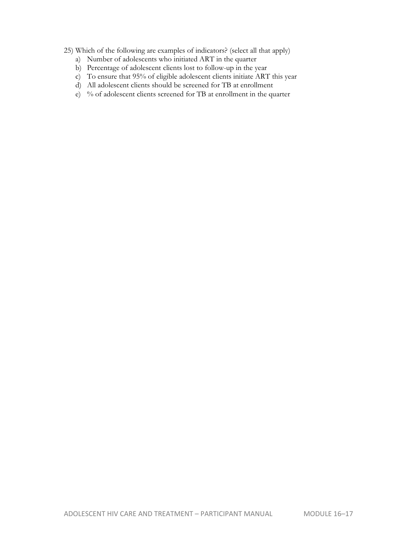#### 25) Which of the following are examples of indicators? (select all that apply)

- a) Number of adolescents who initiated ART in the quarter
- b) Percentage of adolescent clients lost to follow-up in the year
- c) To ensure that 95% of eligible adolescent clients initiate ART this year
- d) All adolescent clients should be screened for TB at enrollment
- e) % of adolescent clients screened for TB at enrollment in the quarter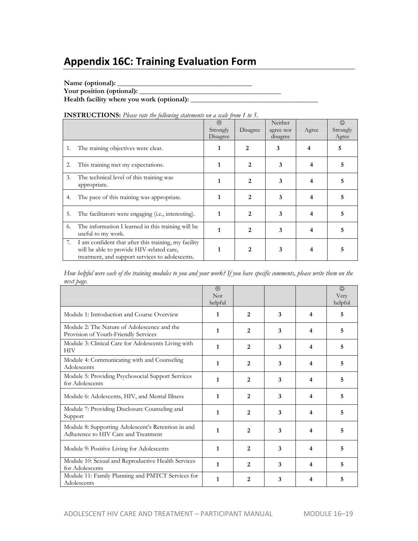#### Name (optional):

Your position (optional):

**Health facility where you work (optional): \_\_\_\_\_\_\_\_\_\_\_\_\_\_\_\_\_\_\_\_\_\_\_\_\_\_\_\_\_\_\_\_\_\_\_\_** 

| <b>INSTRUCTIONS:</b> Please rate the following statements on a scale from 1 to 5 |  |  |  |  |  |  |  |  |  |
|----------------------------------------------------------------------------------|--|--|--|--|--|--|--|--|--|
|----------------------------------------------------------------------------------|--|--|--|--|--|--|--|--|--|

|    |                                                                                                                                                      | ⊛<br>Strongly<br>Disagree | Disagree                    | Neither<br>agree nor<br>disagree | Agree | $\odot$<br>Strongly<br>Agree |
|----|------------------------------------------------------------------------------------------------------------------------------------------------------|---------------------------|-----------------------------|----------------------------------|-------|------------------------------|
| 1. | The training objectives were clear.                                                                                                                  |                           | 2                           | 3                                |       | 5                            |
| 2. | This training met my expectations.                                                                                                                   | 1                         | 2                           | 3                                |       | 5                            |
| 3. | The technical level of this training was<br>appropriate.                                                                                             |                           | $\mathcal{D}_{\mathcal{L}}$ | 3                                |       |                              |
| 4. | The pace of this training was appropriate.                                                                                                           |                           | $\overline{2}$              | 3                                |       |                              |
| 5. | The facilitators were engaging (i.e., interesting).                                                                                                  |                           | $\mathcal{D}_{\mathcal{L}}$ | 3                                | 4     | 5                            |
| 6. | The information I learned in this training will be<br>useful to my work.                                                                             |                           | $\mathcal{D}_{\mathcal{L}}$ | 3                                |       |                              |
| 7. | I am confident that after this training, my facility<br>will be able to provide HIV-related care,<br>treatment, and support services to adolescents. |                           | $\mathcal{L}$               | 3                                |       |                              |

*How helpful were each of the training modules to you and your work? If you have specific comments, please write them on the next page.* 

|                                                                                           | $\odot$<br><b>Not</b><br>helpful |                |   |                | $\odot$<br>Very<br>helpful |
|-------------------------------------------------------------------------------------------|----------------------------------|----------------|---|----------------|----------------------------|
| Module 1: Introduction and Course Overview                                                | 1                                | $\overline{2}$ | 3 | 4              | 5                          |
| Module 2: The Nature of Adolescence and the<br>Provision of Youth-Friendly Services       | $\mathbf{1}$                     | $\overline{2}$ | 3 | $\overline{4}$ | 5                          |
| Module 3: Clinical Care for Adolescents Living with<br><b>HIV</b>                         | $\mathbf{1}$                     | $\overline{2}$ | 3 | 4              | 5                          |
| Module 4: Communicating with and Counseling<br>Adolescents                                | $\mathbf{1}$                     | $\overline{2}$ | 3 | $\overline{4}$ | 5                          |
| Module 5: Providing Psychosocial Support Services<br>for Adolescents                      | $\mathbf{1}$                     | $\overline{2}$ | 3 | $\overline{4}$ | 5                          |
| Module 6: Adolescents, HIV, and Mental Illness                                            | $\mathbf{1}$                     | $\overline{2}$ | 3 | $\overline{4}$ | 5                          |
| Module 7: Providing Disclosure Counseling and<br>Support                                  | $\mathbf{1}$                     | $\overline{2}$ | 3 | 4              | 5                          |
| Module 8: Supporting Adolescent's Retention in and<br>Adherence to HIV Care and Treatment | $\mathbf{1}$                     | $\overline{2}$ | 3 | 4              | 5                          |
| Module 9: Positive Living for Adolescents                                                 | $\mathbf{1}$                     | $\mathbf{2}$   | 3 | 4              | 5                          |
| Module 10: Sexual and Reproductive Health Services<br>for Adolescents                     | $\mathbf{1}$                     | $\overline{2}$ | 3 | $\overline{4}$ | 5                          |
| Module 11: Family Planning and PMTCT Services for<br>Adolescents                          | 1                                | 2              | 3 | 4              | 5                          |